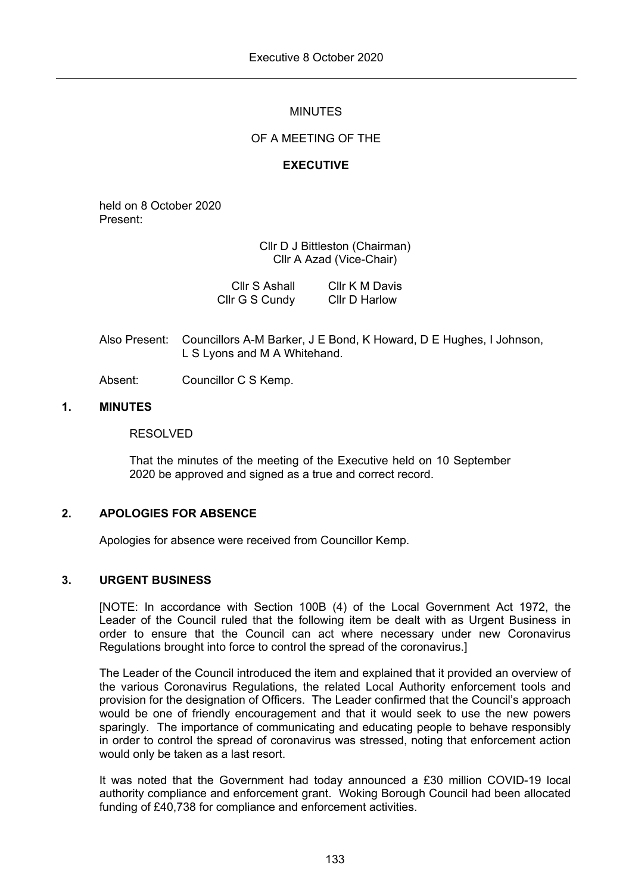## MINUTES

## OF A MEETING OF THE

## **EXECUTIVE**

held on 8 October 2020 Present:

> Cllr D J Bittleston (Chairman) Cllr A Azad (Vice-Chair)

| Cllr S Ashall  | Cllr K M Davis       |
|----------------|----------------------|
| Cllr G S Cundy | <b>CIIr D Harlow</b> |

Also Present: Councillors A-M Barker, J E Bond, K Howard, D E Hughes, I Johnson, L S Lyons and M A Whitehand.

Absent: Councillor C S Kemp.

### **1. MINUTES**

### RESOLVED

That the minutes of the meeting of the Executive held on 10 September 2020 be approved and signed as a true and correct record.

## **2. APOLOGIES FOR ABSENCE**

Apologies for absence were received from Councillor Kemp.

## **3. URGENT BUSINESS**

[NOTE: In accordance with Section 100B (4) of the Local Government Act 1972, the Leader of the Council ruled that the following item be dealt with as Urgent Business in order to ensure that the Council can act where necessary under new Coronavirus Regulations brought into force to control the spread of the coronavirus.]

The Leader of the Council introduced the item and explained that it provided an overview of the various Coronavirus Regulations, the related Local Authority enforcement tools and provision for the designation of Officers. The Leader confirmed that the Council's approach would be one of friendly encouragement and that it would seek to use the new powers sparingly. The importance of communicating and educating people to behave responsibly in order to control the spread of coronavirus was stressed, noting that enforcement action would only be taken as a last resort.

It was noted that the Government had today announced a £30 million COVID-19 local authority compliance and enforcement grant. Woking Borough Council had been allocated funding of £40,738 for compliance and enforcement activities.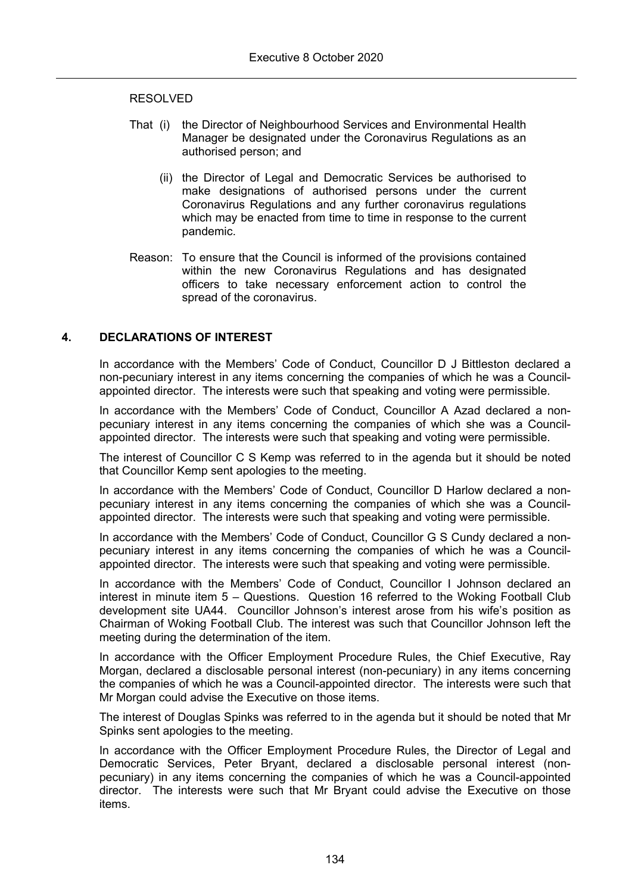### RESOLVED

- That (i) the Director of Neighbourhood Services and Environmental Health Manager be designated under the Coronavirus Regulations as an authorised person; and
	- (ii) the Director of Legal and Democratic Services be authorised to make designations of authorised persons under the current Coronavirus Regulations and any further coronavirus regulations which may be enacted from time to time in response to the current pandemic.
- Reason: To ensure that the Council is informed of the provisions contained within the new Coronavirus Regulations and has designated officers to take necessary enforcement action to control the spread of the coronavirus.

### **4. DECLARATIONS OF INTEREST**

In accordance with the Members' Code of Conduct, Councillor D J Bittleston declared a non-pecuniary interest in any items concerning the companies of which he was a Councilappointed director. The interests were such that speaking and voting were permissible.

In accordance with the Members' Code of Conduct, Councillor A Azad declared a nonpecuniary interest in any items concerning the companies of which she was a Councilappointed director. The interests were such that speaking and voting were permissible.

The interest of Councillor C S Kemp was referred to in the agenda but it should be noted that Councillor Kemp sent apologies to the meeting.

In accordance with the Members' Code of Conduct, Councillor D Harlow declared a nonpecuniary interest in any items concerning the companies of which she was a Councilappointed director. The interests were such that speaking and voting were permissible.

In accordance with the Members' Code of Conduct, Councillor G S Cundy declared a nonpecuniary interest in any items concerning the companies of which he was a Councilappointed director. The interests were such that speaking and voting were permissible.

In accordance with the Members' Code of Conduct, Councillor I Johnson declared an interest in minute item 5 – Questions. Question 16 referred to the Woking Football Club development site UA44. Councillor Johnson's interest arose from his wife's position as Chairman of Woking Football Club. The interest was such that Councillor Johnson left the meeting during the determination of the item.

In accordance with the Officer Employment Procedure Rules, the Chief Executive, Ray Morgan, declared a disclosable personal interest (non-pecuniary) in any items concerning the companies of which he was a Council-appointed director. The interests were such that Mr Morgan could advise the Executive on those items.

The interest of Douglas Spinks was referred to in the agenda but it should be noted that Mr Spinks sent apologies to the meeting.

In accordance with the Officer Employment Procedure Rules, the Director of Legal and Democratic Services, Peter Bryant, declared a disclosable personal interest (nonpecuniary) in any items concerning the companies of which he was a Council-appointed director. The interests were such that Mr Bryant could advise the Executive on those items.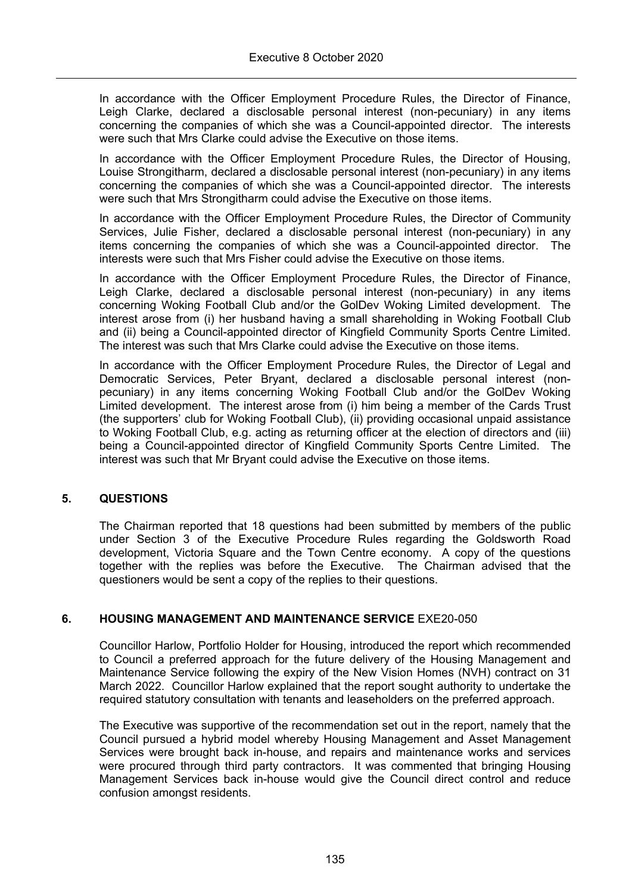In accordance with the Officer Employment Procedure Rules, the Director of Finance, Leigh Clarke, declared a disclosable personal interest (non-pecuniary) in any items concerning the companies of which she was a Council-appointed director. The interests were such that Mrs Clarke could advise the Executive on those items.

In accordance with the Officer Employment Procedure Rules, the Director of Housing, Louise Strongitharm, declared a disclosable personal interest (non-pecuniary) in any items concerning the companies of which she was a Council-appointed director. The interests were such that Mrs Strongitharm could advise the Executive on those items.

In accordance with the Officer Employment Procedure Rules, the Director of Community Services, Julie Fisher, declared a disclosable personal interest (non-pecuniary) in any items concerning the companies of which she was a Council-appointed director. The interests were such that Mrs Fisher could advise the Executive on those items.

In accordance with the Officer Employment Procedure Rules, the Director of Finance, Leigh Clarke, declared a disclosable personal interest (non-pecuniary) in any items concerning Woking Football Club and/or the GolDev Woking Limited development. The interest arose from (i) her husband having a small shareholding in Woking Football Club and (ii) being a Council-appointed director of Kingfield Community Sports Centre Limited. The interest was such that Mrs Clarke could advise the Executive on those items.

In accordance with the Officer Employment Procedure Rules, the Director of Legal and Democratic Services, Peter Bryant, declared a disclosable personal interest (nonpecuniary) in any items concerning Woking Football Club and/or the GolDev Woking Limited development. The interest arose from (i) him being a member of the Cards Trust (the supporters' club for Woking Football Club), (ii) providing occasional unpaid assistance to Woking Football Club, e.g. acting as returning officer at the election of directors and (iii) being a Council-appointed director of Kingfield Community Sports Centre Limited. The interest was such that Mr Bryant could advise the Executive on those items.

## **5. QUESTIONS**

The Chairman reported that 18 questions had been submitted by members of the public under Section 3 of the Executive Procedure Rules regarding the Goldsworth Road development, Victoria Square and the Town Centre economy. A copy of the questions together with the replies was before the Executive. The Chairman advised that the questioners would be sent a copy of the replies to their questions.

## **6. HOUSING MANAGEMENT AND MAINTENANCE SERVICE** EXE20-050

Councillor Harlow, Portfolio Holder for Housing, introduced the report which recommended to Council a preferred approach for the future delivery of the Housing Management and Maintenance Service following the expiry of the New Vision Homes (NVH) contract on 31 March 2022. Councillor Harlow explained that the report sought authority to undertake the required statutory consultation with tenants and leaseholders on the preferred approach.

The Executive was supportive of the recommendation set out in the report, namely that the Council pursued a hybrid model whereby Housing Management and Asset Management Services were brought back in-house, and repairs and maintenance works and services were procured through third party contractors. It was commented that bringing Housing Management Services back in-house would give the Council direct control and reduce confusion amongst residents.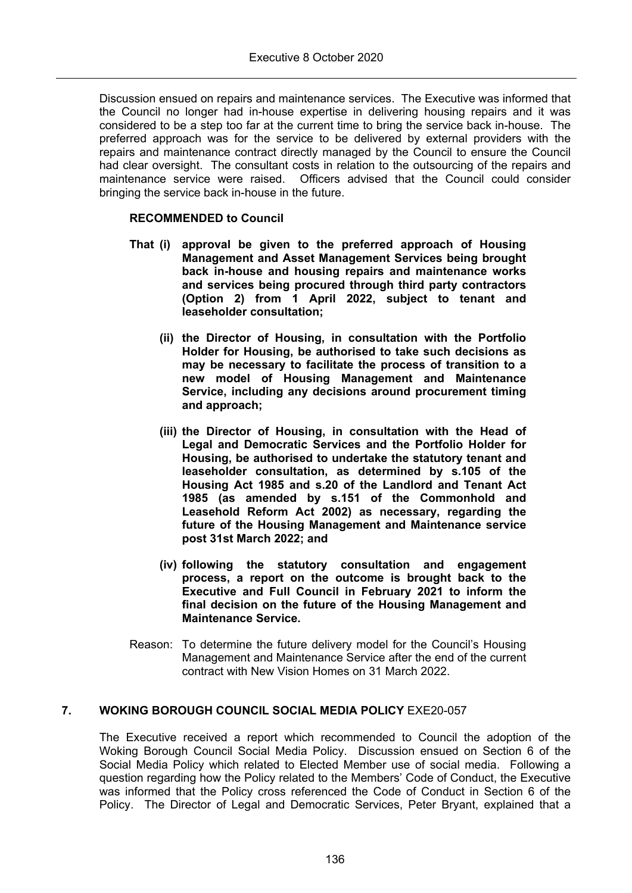Discussion ensued on repairs and maintenance services. The Executive was informed that the Council no longer had in-house expertise in delivering housing repairs and it was considered to be a step too far at the current time to bring the service back in-house. The preferred approach was for the service to be delivered by external providers with the repairs and maintenance contract directly managed by the Council to ensure the Council had clear oversight. The consultant costs in relation to the outsourcing of the repairs and maintenance service were raised. Officers advised that the Council could consider bringing the service back in-house in the future.

## **RECOMMENDED to Council**

- **That (i) approval be given to the preferred approach of Housing Management and Asset Management Services being brought back in-house and housing repairs and maintenance works and services being procured through third party contractors (Option 2) from 1 April 2022, subject to tenant and leaseholder consultation;**
	- **(ii) the Director of Housing, in consultation with the Portfolio Holder for Housing, be authorised to take such decisions as may be necessary to facilitate the process of transition to a new model of Housing Management and Maintenance Service, including any decisions around procurement timing and approach;**
	- **(iii) the Director of Housing, in consultation with the Head of Legal and Democratic Services and the Portfolio Holder for Housing, be authorised to undertake the statutory tenant and leaseholder consultation, as determined by s.105 of the Housing Act 1985 and s.20 of the Landlord and Tenant Act 1985 (as amended by s.151 of the Commonhold and Leasehold Reform Act 2002) as necessary, regarding the future of the Housing Management and Maintenance service post 31st March 2022; and**
	- **(iv) following the statutory consultation and engagement process, a report on the outcome is brought back to the Executive and Full Council in February 2021 to inform the final decision on the future of the Housing Management and Maintenance Service.**
- Reason: To determine the future delivery model for the Council's Housing Management and Maintenance Service after the end of the current contract with New Vision Homes on 31 March 2022.

## **7. WOKING BOROUGH COUNCIL SOCIAL MEDIA POLICY** EXE20-057

The Executive received a report which recommended to Council the adoption of the Woking Borough Council Social Media Policy. Discussion ensued on Section 6 of the Social Media Policy which related to Elected Member use of social media. Following a question regarding how the Policy related to the Members' Code of Conduct, the Executive was informed that the Policy cross referenced the Code of Conduct in Section 6 of the Policy. The Director of Legal and Democratic Services, Peter Bryant, explained that a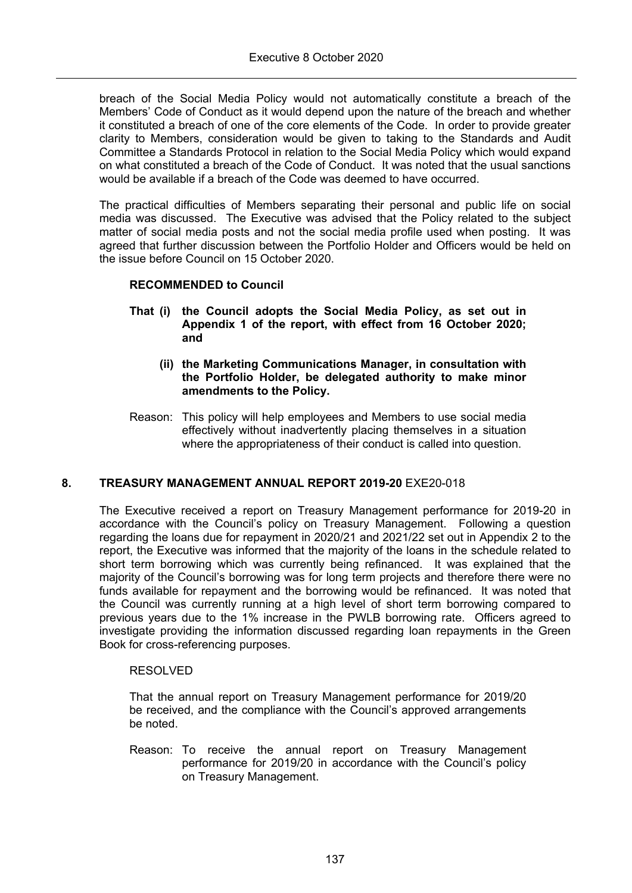breach of the Social Media Policy would not automatically constitute a breach of the Members' Code of Conduct as it would depend upon the nature of the breach and whether it constituted a breach of one of the core elements of the Code. In order to provide greater clarity to Members, consideration would be given to taking to the Standards and Audit Committee a Standards Protocol in relation to the Social Media Policy which would expand on what constituted a breach of the Code of Conduct. It was noted that the usual sanctions would be available if a breach of the Code was deemed to have occurred.

The practical difficulties of Members separating their personal and public life on social media was discussed. The Executive was advised that the Policy related to the subject matter of social media posts and not the social media profile used when posting. It was agreed that further discussion between the Portfolio Holder and Officers would be held on the issue before Council on 15 October 2020.

## **RECOMMENDED to Council**

- **That (i) the Council adopts the Social Media Policy, as set out in Appendix 1 of the report, with effect from 16 October 2020; and**
	- **(ii) the Marketing Communications Manager, in consultation with the Portfolio Holder, be delegated authority to make minor amendments to the Policy.**
- Reason: This policy will help employees and Members to use social media effectively without inadvertently placing themselves in a situation where the appropriateness of their conduct is called into question.

## **8. TREASURY MANAGEMENT ANNUAL REPORT 2019-20** EXE20-018

The Executive received a report on Treasury Management performance for 2019-20 in accordance with the Council's policy on Treasury Management. Following a question regarding the loans due for repayment in 2020/21 and 2021/22 set out in Appendix 2 to the report, the Executive was informed that the majority of the loans in the schedule related to short term borrowing which was currently being refinanced. It was explained that the majority of the Council's borrowing was for long term projects and therefore there were no funds available for repayment and the borrowing would be refinanced. It was noted that the Council was currently running at a high level of short term borrowing compared to previous years due to the 1% increase in the PWLB borrowing rate. Officers agreed to investigate providing the information discussed regarding loan repayments in the Green Book for cross-referencing purposes.

## RESOLVED

That the annual report on Treasury Management performance for 2019/20 be received, and the compliance with the Council's approved arrangements be noted.

Reason: To receive the annual report on Treasury Management performance for 2019/20 in accordance with the Council's policy on Treasury Management.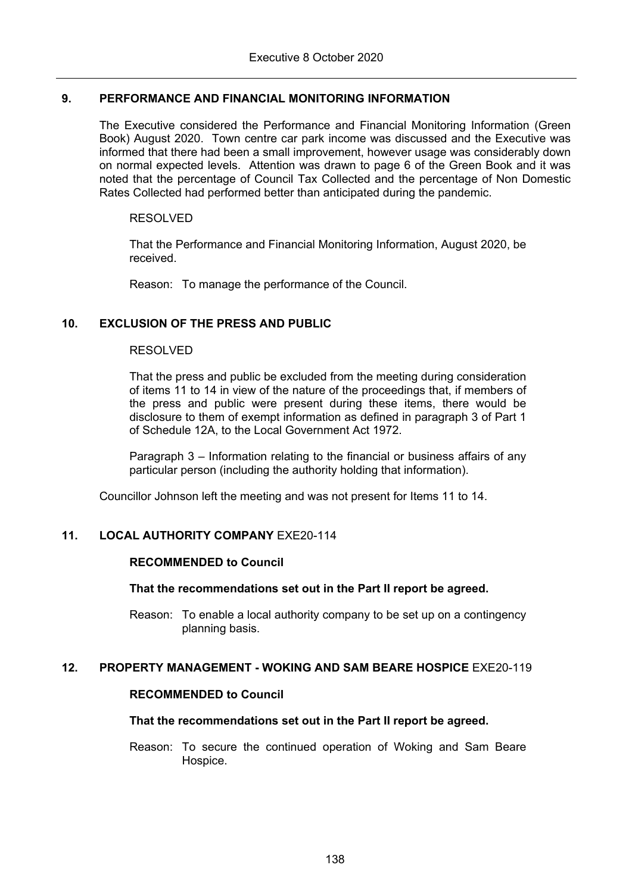## **9. PERFORMANCE AND FINANCIAL MONITORING INFORMATION**

The Executive considered the Performance and Financial Monitoring Information (Green Book) August 2020. Town centre car park income was discussed and the Executive was informed that there had been a small improvement, however usage was considerably down on normal expected levels. Attention was drawn to page 6 of the Green Book and it was noted that the percentage of Council Tax Collected and the percentage of Non Domestic Rates Collected had performed better than anticipated during the pandemic.

## RESOLVED

That the Performance and Financial Monitoring Information, August 2020, be received.

Reason: To manage the performance of the Council.

# **10. EXCLUSION OF THE PRESS AND PUBLIC**

### RESOLVED

That the press and public be excluded from the meeting during consideration of items 11 to 14 in view of the nature of the proceedings that, if members of the press and public were present during these items, there would be disclosure to them of exempt information as defined in paragraph 3 of Part 1 of Schedule 12A, to the Local Government Act 1972.

Paragraph 3 – Information relating to the financial or business affairs of any particular person (including the authority holding that information).

Councillor Johnson left the meeting and was not present for Items 11 to 14.

## **11. LOCAL AUTHORITY COMPANY** EXE20-114

## **RECOMMENDED to Council**

## **That the recommendations set out in the Part II report be agreed.**

Reason: To enable a local authority company to be set up on a contingency planning basis.

#### **12. PROPERTY MANAGEMENT - WOKING AND SAM BEARE HOSPICE** EXE20-119

#### **RECOMMENDED to Council**

#### **That the recommendations set out in the Part II report be agreed.**

Reason: To secure the continued operation of Woking and Sam Beare Hospice.